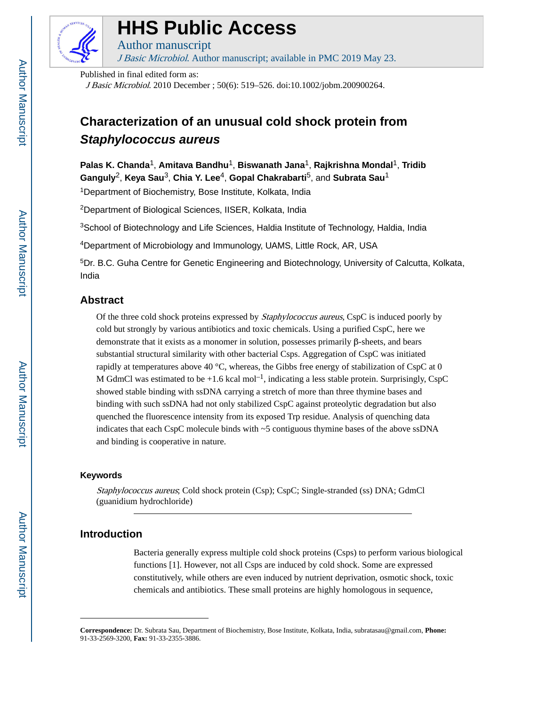

# **HHS Public Access**

Author manuscript J Basic Microbiol. Author manuscript; available in PMC 2019 May 23.

Published in final edited form as:

J Basic Microbiol. 2010 December ; 50(6): 519–526. doi:10.1002/jobm.200900264.

# **Characterization of an unusual cold shock protein from Staphylococcus aureus**

**Palas K. Chanda**1, **Amitava Bandhu**1, **Biswanath Jana**1, **Rajkrishna Mondal**1, **Tridib Ganguly**2, **Keya Sau**3, **Chia Y. Lee**4, **Gopal Chakrabarti**5, and **Subrata Sau**<sup>1</sup>

<sup>1</sup>Department of Biochemistry, Bose Institute, Kolkata, India

<sup>2</sup>Department of Biological Sciences, IISER, Kolkata, India

<sup>3</sup>School of Biotechnology and Life Sciences, Haldia Institute of Technology, Haldia, India

<sup>4</sup>Department of Microbiology and Immunology, UAMS, Little Rock, AR, USA

<sup>5</sup>Dr. B.C. Guha Centre for Genetic Engineering and Biotechnology, University of Calcutta, Kolkata, India

## **Abstract**

Of the three cold shock proteins expressed by *Staphylococcus aureus*, CspC is induced poorly by cold but strongly by various antibiotics and toxic chemicals. Using a purified CspC, here we demonstrate that it exists as a monomer in solution, possesses primarily β-sheets, and bears substantial structural similarity with other bacterial Csps. Aggregation of CspC was initiated rapidly at temperatures above 40  $^{\circ}$ C, whereas, the Gibbs free energy of stabilization of CspC at 0 M GdmCl was estimated to be  $+1.6$  kcal mol<sup>-1</sup>, indicating a less stable protein. Surprisingly, CspC showed stable binding with ssDNA carrying a stretch of more than three thymine bases and binding with such ssDNA had not only stabilized CspC against proteolytic degradation but also quenched the fluorescence intensity from its exposed Trp residue. Analysis of quenching data indicates that each CspC molecule binds with ~5 contiguous thymine bases of the above ssDNA and binding is cooperative in nature.

## **Keywords**

Staphylococcus aureus; Cold shock protein (Csp); CspC; Single-stranded (ss) DNA; GdmCl (guanidium hydrochloride)

## **Introduction**

Bacteria generally express multiple cold shock proteins (Csps) to perform various biological functions [1]. However, not all Csps are induced by cold shock. Some are expressed constitutively, while others are even induced by nutrient deprivation, osmotic shock, toxic chemicals and antibiotics. These small proteins are highly homologous in sequence,

**Correspondence:** Dr. Subrata Sau, Department of Biochemistry, Bose Institute, Kolkata, India, subratasau@gmail.com, **Phone:**  91-33-2569-3200, **Fax:** 91-33-2355-3886.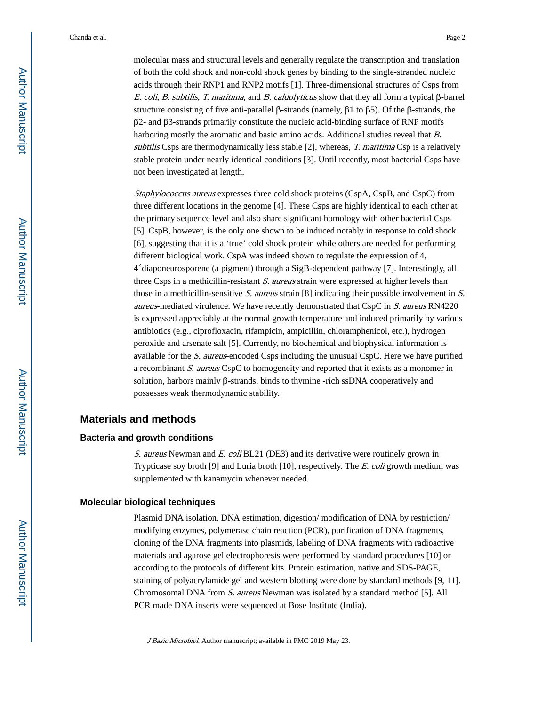molecular mass and structural levels and generally regulate the transcription and translation of both the cold shock and non-cold shock genes by binding to the single-stranded nucleic acids through their RNP1 and RNP2 motifs [1]. Three-dimensional structures of Csps from E. coli, B. subtilis, T. maritima, and B. caldolyticus show that they all form a typical β-barrel structure consisting of five anti-parallel β-strands (namely, β1 to β5). Of the β-strands, the β2- and β3-strands primarily constitute the nucleic acid-binding surface of RNP motifs harboring mostly the aromatic and basic amino acids. Additional studies reveal that B. subtilis Csps are thermodynamically less stable [2], whereas, T. maritima Csp is a relatively stable protein under nearly identical conditions [3]. Until recently, most bacterial Csps have not been investigated at length.

Staphylococcus aureus expresses three cold shock proteins (CspA, CspB, and CspC) from three different locations in the genome [4]. These Csps are highly identical to each other at the primary sequence level and also share significant homology with other bacterial Csps [5]. CspB, however, is the only one shown to be induced notably in response to cold shock [6], suggesting that it is a 'true' cold shock protein while others are needed for performing different biological work. CspA was indeed shown to regulate the expression of 4, 4′diaponeurosporene (a pigment) through a SigB-dependent pathway [7]. Interestingly, all three Csps in a methicillin-resistant S. aureus strain were expressed at higher levels than those in a methicillin-sensitive  $S$ . aureus strain [8] indicating their possible involvement in  $S$ . aureus-mediated virulence. We have recently demonstrated that CspC in S. aureus RN4220 is expressed appreciably at the normal growth temperature and induced primarily by various antibiotics (e.g., ciprofloxacin, rifampicin, ampicillin, chloramphenicol, etc.), hydrogen peroxide and arsenate salt [5]. Currently, no biochemical and biophysical information is available for the S. aureus-encoded Csps including the unusual CspC. Here we have purified a recombinant S. aureus CspC to homogeneity and reported that it exists as a monomer in solution, harbors mainly β-strands, binds to thymine -rich ssDNA cooperatively and possesses weak thermodynamic stability.

### **Materials and methods**

#### **Bacteria and growth conditions**

S. aureus Newman and E. coli BL21 (DE3) and its derivative were routinely grown in Trypticase soy broth [9] and Luria broth [10], respectively. The E. coli growth medium was supplemented with kanamycin whenever needed.

#### **Molecular biological techniques**

Plasmid DNA isolation, DNA estimation, digestion/ modification of DNA by restriction/ modifying enzymes, polymerase chain reaction (PCR), purification of DNA fragments, cloning of the DNA fragments into plasmids, labeling of DNA fragments with radioactive materials and agarose gel electrophoresis were performed by standard procedures [10] or according to the protocols of different kits. Protein estimation, native and SDS-PAGE, staining of polyacrylamide gel and western blotting were done by standard methods [9, 11]. Chromosomal DNA from S. aureus Newman was isolated by a standard method [5]. All PCR made DNA inserts were sequenced at Bose Institute (India).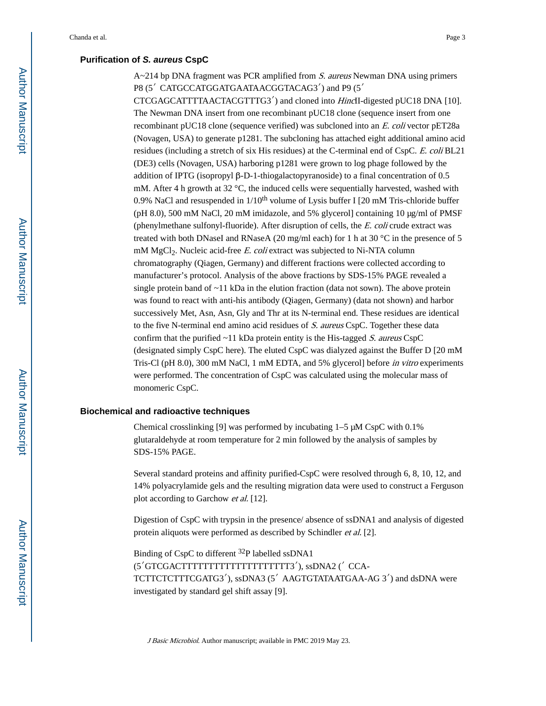## **Purification of S. aureus CspC**

 $A \sim 214$  bp DNA fragment was PCR amplified from *S. aureus* Newman DNA using primers P8 (5′ CATGCCATGGATGAATAACGGTACAG3′) and P9 (5′

CTCGAGCATTTTAACTACGTTTG3′) and cloned into HincII-digested pUC18 DNA [10]. The Newman DNA insert from one recombinant pUC18 clone (sequence insert from one recombinant pUC18 clone (sequence verified) was subcloned into an E. coli vector pET28a (Novagen, USA) to generate p1281. The subcloning has attached eight additional amino acid residues (including a stretch of six His residues) at the C-terminal end of CspC. E. coli BL21 (DE3) cells (Novagen, USA) harboring p1281 were grown to log phage followed by the addition of IPTG (isopropyl β-D-1-thiogalactopyranoside) to a final concentration of 0.5 mM. After 4 h growth at 32  $^{\circ}$ C, the induced cells were sequentially harvested, washed with 0.9% NaCl and resuspended in  $1/10^{th}$  volume of Lysis buffer I [20 mM Tris-chloride buffer (pH 8.0), 500 mM NaCl, 20 mM imidazole, and 5% glycerol] containing 10 μg/ml of PMSF (phenylmethane sulfonyl-fluoride). After disruption of cells, the E. coli crude extract was treated with both DNaseI and RNaseA (20 mg/ml each) for 1 h at 30  $\degree$ C in the presence of 5 mM  $MgCl<sub>2</sub>$ . Nucleic acid-free E. coli extract was subjected to Ni-NTA column chromatography (Qiagen, Germany) and different fractions were collected according to manufacturer's protocol. Analysis of the above fractions by SDS-15% PAGE revealed a single protein band of  $\sim$ 11 kDa in the elution fraction (data not sown). The above protein was found to react with anti-his antibody (Qiagen, Germany) (data not shown) and harbor successively Met, Asn, Asn, Gly and Thr at its N-terminal end. These residues are identical to the five N-terminal end amino acid residues of S. aureus CspC. Together these data confirm that the purified  $~11$  kDa protein entity is the His-tagged S. aureus CspC (designated simply CspC here). The eluted CspC was dialyzed against the Buffer D [20 mM Tris-Cl (pH 8.0), 300 mM NaCl, 1 mM EDTA, and 5% glycerol] before in vitro experiments were performed. The concentration of CspC was calculated using the molecular mass of monomeric CspC.

#### **Biochemical and radioactive techniques**

Chemical crosslinking [9] was performed by incubating 1–5 μM CspC with 0.1% glutaraldehyde at room temperature for 2 min followed by the analysis of samples by SDS-15% PAGE.

Several standard proteins and affinity purified-CspC were resolved through 6, 8, 10, 12, and 14% polyacrylamide gels and the resulting migration data were used to construct a Ferguson plot according to Garchow et al. [12].

Digestion of CspC with trypsin in the presence/ absence of ssDNA1 and analysis of digested protein aliquots were performed as described by Schindler et al. [2].

Binding of CspC to different 32P labelled ssDNA1 (5′GTCGACTTTTTTTTTTTTTTTTTTTT3′), ssDNA2 (′ CCA-TCTTCTCTTTCGATG3′), ssDNA3 (5′ AAGTGTATAATGAA-AG 3′) and dsDNA were investigated by standard gel shift assay [9].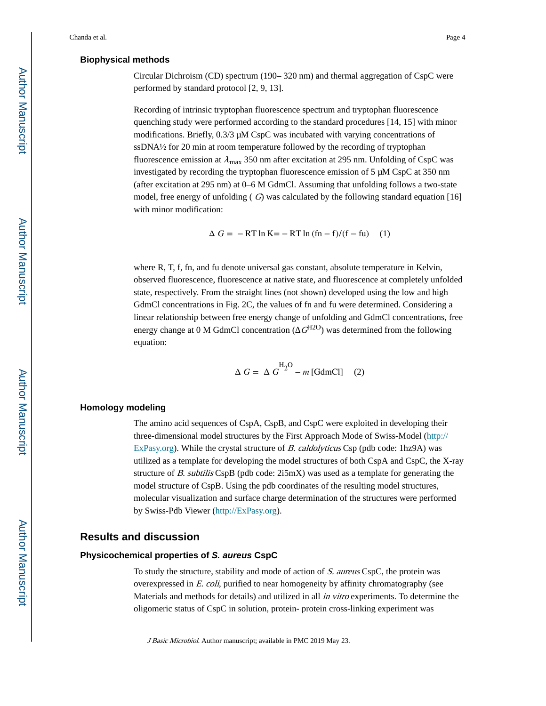#### **Biophysical methods**

Circular Dichroism (CD) spectrum (190– 320 nm) and thermal aggregation of CspC were performed by standard protocol [2, 9, 13].

Recording of intrinsic tryptophan fluorescence spectrum and tryptophan fluorescence quenching study were performed according to the standard procedures [14, 15] with minor modifications. Briefly, 0.3/3 μM CspC was incubated with varying concentrations of ssDNA½ for 20 min at room temperature followed by the recording of tryptophan fluorescence emission at  $\lambda_{\text{max}}$  350 nm after excitation at 295 nm. Unfolding of CspC was investigated by recording the tryptophan fluorescence emission of 5 μM CspC at 350 nm (after excitation at 295 nm) at 0–6 M GdmCl. Assuming that unfolding follows a two-state model, free energy of unfolding ( $G$ ) was calculated by the following standard equation [16] with minor modification:

$$
\Delta G = -RT \ln K = -RT \ln (\ln - f)/(f - fu) \quad (1)
$$

where R, T, f, fn, and fu denote universal gas constant, absolute temperature in Kelvin, observed fluorescence, fluorescence at native state, and fluorescence at completely unfolded state, respectively. From the straight lines (not shown) developed using the low and high GdmCl concentrations in Fig. 2C, the values of fn and fu were determined. Considering a linear relationship between free energy change of unfolding and GdmCl concentrations, free energy change at 0 M GdmCl concentration ( $G^{H2O}$ ) was determined from the following equation:

$$
\Delta G = \Delta G^{H_2O} - m \,[\text{GdmCl}] \quad (2)
$$

#### **Homology modeling**

The amino acid sequences of CspA, CspB, and CspC were exploited in developing their three-dimensional model structures by the First Approach Mode of Swiss-Model ([http://](http://expasy.org/) [ExPasy.org\)](http://expasy.org/). While the crystal structure of B. caldolyticus Csp (pdb code: 1hz9A) was utilized as a template for developing the model structures of both CspA and CspC, the X-ray structure of B. subtilis CspB (pdb code:  $2i5mX$ ) was used as a template for generating the model structure of CspB. Using the pdb coordinates of the resulting model structures, molecular visualization and surface charge determination of the structures were performed by Swiss-Pdb Viewer ([http://ExPasy.org](http://expasy.org/)).

## **Results and discussion**

#### **Physicochemical properties of S. aureus CspC**

To study the structure, stability and mode of action of S. aureus CspC, the protein was overexpressed in E. coli, purified to near homogeneity by affinity chromatography (see Materials and methods for details) and utilized in all *in vitro* experiments. To determine the oligomeric status of CspC in solution, protein- protein cross-linking experiment was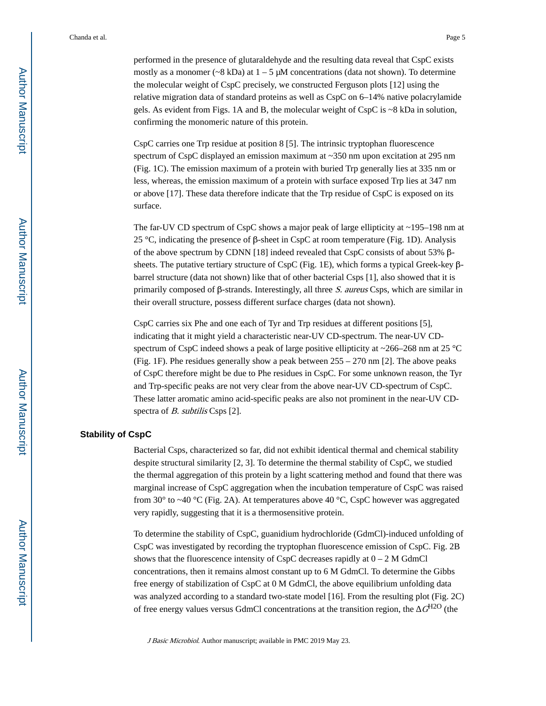performed in the presence of glutaraldehyde and the resulting data reveal that CspC exists mostly as a monomer ( $\sim$ 8 kDa) at  $1 - 5$  μM concentrations (data not shown). To determine the molecular weight of CspC precisely, we constructed Ferguson plots [12] using the relative migration data of standard proteins as well as CspC on 6–14% native polacrylamide gels. As evident from Figs. 1A and B, the molecular weight of CspC is ~8 kDa in solution, confirming the monomeric nature of this protein.

CspC carries one Trp residue at position 8 [5]. The intrinsic tryptophan fluorescence spectrum of CspC displayed an emission maximum at ~350 nm upon excitation at 295 nm (Fig. 1C). The emission maximum of a protein with buried Trp generally lies at 335 nm or less, whereas, the emission maximum of a protein with surface exposed Trp lies at 347 nm or above [17]. These data therefore indicate that the Trp residue of CspC is exposed on its surface.

The far-UV CD spectrum of CspC shows a major peak of large ellipticity at ~195–198 nm at 25 °C, indicating the presence of β-sheet in CspC at room temperature (Fig. 1D). Analysis of the above spectrum by CDNN [18] indeed revealed that CspC consists of about 53% βsheets. The putative tertiary structure of CspC (Fig. 1E), which forms a typical Greek-key βbarrel structure (data not shown) like that of other bacterial Csps [1], also showed that it is primarily composed of  $\beta$ -strands. Interestingly, all three S. aureus Csps, which are similar in their overall structure, possess different surface charges (data not shown).

CspC carries six Phe and one each of Tyr and Trp residues at different positions [5], indicating that it might yield a characteristic near-UV CD-spectrum. The near-UV CDspectrum of CspC indeed shows a peak of large positive ellipticity at ~266–268 nm at 25 °C (Fig. 1F). Phe residues generally show a peak between 255 – 270 nm [2]. The above peaks of CspC therefore might be due to Phe residues in CspC. For some unknown reason, the Tyr and Trp-specific peaks are not very clear from the above near-UV CD-spectrum of CspC. These latter aromatic amino acid-specific peaks are also not prominent in the near-UV CDspectra of *B. subtilis* Csps [2].

#### **Stability of CspC**

Bacterial Csps, characterized so far, did not exhibit identical thermal and chemical stability despite structural similarity [2, 3]. To determine the thermal stability of CspC, we studied the thermal aggregation of this protein by a light scattering method and found that there was marginal increase of CspC aggregation when the incubation temperature of CspC was raised from 30° to ~40 °C (Fig. 2A). At temperatures above 40 °C, CspC however was aggregated very rapidly, suggesting that it is a thermosensitive protein.

To determine the stability of CspC, guanidium hydrochloride (GdmCl)-induced unfolding of CspC was investigated by recording the tryptophan fluorescence emission of CspC. Fig. 2B shows that the fluorescence intensity of CspC decreases rapidly at  $0 - 2$  M GdmCl concentrations, then it remains almost constant up to 6 M GdmCl. To determine the Gibbs free energy of stabilization of CspC at 0 M GdmCl, the above equilibrium unfolding data was analyzed according to a standard two-state model [16]. From the resulting plot (Fig. 2C) of free energy values versus GdmCl concentrations at the transition region, the  $G<sup>H2O</sup>$  (the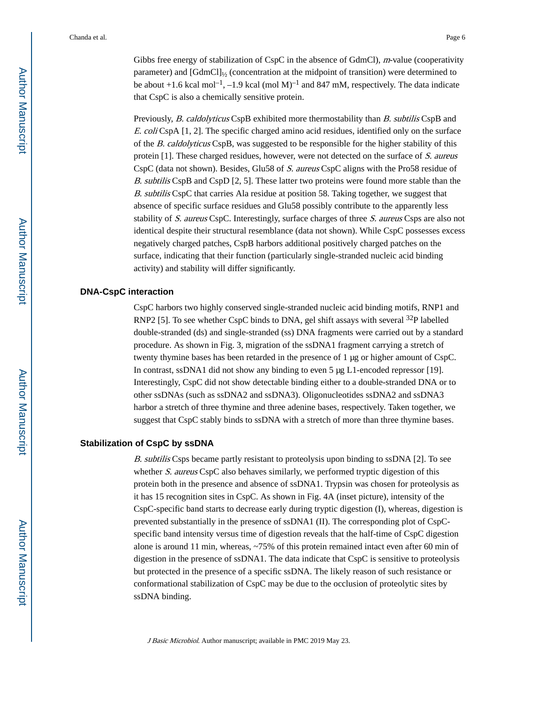Gibbs free energy of stabilization of  $CspC$  in the absence of GdmCl), *m*-value (cooperativity parameter) and [GdmCl]½ (concentration at the midpoint of transition) were determined to be about  $+1.6$  kcal mol<sup>-1</sup>, -1.9 kcal (mol M)<sup>-1</sup> and 847 mM, respectively. The data indicate that CspC is also a chemically sensitive protein.

Previously, B. caldolyticus CspB exhibited more thermostability than B. subtilis CspB and E. coli CspA  $[1, 2]$ . The specific charged amino acid residues, identified only on the surface of the B. caldolyticus CspB, was suggested to be responsible for the higher stability of this protein [1]. These charged residues, however, were not detected on the surface of S. aureus CspC (data not shown). Besides, Glu58 of S. aureus CspC aligns with the Pro58 residue of B. subtilis CspB and CspD [2, 5]. These latter two proteins were found more stable than the B. subtilis CspC that carries Ala residue at position 58. Taking together, we suggest that absence of specific surface residues and Glu58 possibly contribute to the apparently less stability of S. aureus CspC. Interestingly, surface charges of three S. aureus Csps are also not identical despite their structural resemblance (data not shown). While CspC possesses excess negatively charged patches, CspB harbors additional positively charged patches on the surface, indicating that their function (particularly single-stranded nucleic acid binding activity) and stability will differ significantly.

#### **DNA-CspC interaction**

CspC harbors two highly conserved single-stranded nucleic acid binding motifs, RNP1 and RNP2 [5]. To see whether CspC binds to DNA, gel shift assays with several  $^{32}P$  labelled double-stranded (ds) and single-stranded (ss) DNA fragments were carried out by a standard procedure. As shown in Fig. 3, migration of the ssDNA1 fragment carrying a stretch of twenty thymine bases has been retarded in the presence of 1 μg or higher amount of CspC. In contrast, ssDNA1 did not show any binding to even 5 μg L1-encoded repressor [19]. Interestingly, CspC did not show detectable binding either to a double-stranded DNA or to other ssDNAs (such as ssDNA2 and ssDNA3). Oligonucleotides ssDNA2 and ssDNA3 harbor a stretch of three thymine and three adenine bases, respectively. Taken together, we suggest that CspC stably binds to ssDNA with a stretch of more than three thymine bases.

#### **Stabilization of CspC by ssDNA**

B. subtilis Csps became partly resistant to proteolysis upon binding to ssDNA [2]. To see whether S. aureus CspC also behaves similarly, we performed tryptic digestion of this protein both in the presence and absence of ssDNA1. Trypsin was chosen for proteolysis as it has 15 recognition sites in CspC. As shown in Fig. 4A (inset picture), intensity of the CspC-specific band starts to decrease early during tryptic digestion (I), whereas, digestion is prevented substantially in the presence of ssDNA1 (II). The corresponding plot of CspCspecific band intensity versus time of digestion reveals that the half-time of CspC digestion alone is around 11 min, whereas, ~75% of this protein remained intact even after 60 min of digestion in the presence of ssDNA1. The data indicate that CspC is sensitive to proteolysis but protected in the presence of a specific ssDNA. The likely reason of such resistance or conformational stabilization of CspC may be due to the occlusion of proteolytic sites by ssDNA binding.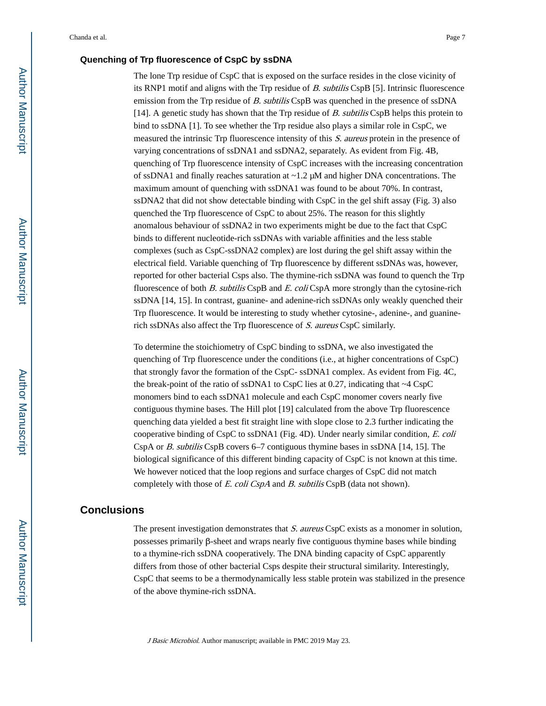#### **Quenching of Trp fluorescence of CspC by ssDNA**

The lone Trp residue of CspC that is exposed on the surface resides in the close vicinity of its RNP1 motif and aligns with the Trp residue of B. subtilis CspB [5]. Intrinsic fluorescence emission from the Trp residue of B. subtilis CspB was quenched in the presence of ssDNA [14]. A genetic study has shown that the Trp residue of B. subtilis CspB helps this protein to bind to ssDNA [1]. To see whether the Trp residue also plays a similar role in CspC, we measured the intrinsic Trp fluorescence intensity of this S. aureus protein in the presence of varying concentrations of ssDNA1 and ssDNA2, separately. As evident from Fig. 4B, quenching of Trp fluorescence intensity of CspC increases with the increasing concentration of ssDNA1 and finally reaches saturation at ~1.2 μM and higher DNA concentrations. The maximum amount of quenching with ssDNA1 was found to be about 70%. In contrast, ssDNA2 that did not show detectable binding with CspC in the gel shift assay (Fig. 3) also quenched the Trp fluorescence of CspC to about 25%. The reason for this slightly anomalous behaviour of ssDNA2 in two experiments might be due to the fact that CspC binds to different nucleotide-rich ssDNAs with variable affinities and the less stable complexes (such as CspC-ssDNA2 complex) are lost during the gel shift assay within the electrical field. Variable quenching of Trp fluorescence by different ssDNAs was, however, reported for other bacterial Csps also. The thymine-rich ssDNA was found to quench the Trp fluorescence of both B. subtilis CspB and E. coli CspA more strongly than the cytosine-rich ssDNA [14, 15]. In contrast, guanine- and adenine-rich ssDNAs only weakly quenched their Trp fluorescence. It would be interesting to study whether cytosine-, adenine-, and guaninerich ssDNAs also affect the Trp fluorescence of S. aureus CspC similarly.

To determine the stoichiometry of CspC binding to ssDNA, we also investigated the quenching of Trp fluorescence under the conditions (i.e., at higher concentrations of CspC) that strongly favor the formation of the CspC- ssDNA1 complex. As evident from Fig. 4C, the break-point of the ratio of ssDNA1 to CspC lies at 0.27, indicating that  $\sim$ 4 CspC monomers bind to each ssDNA1 molecule and each CspC monomer covers nearly five contiguous thymine bases. The Hill plot [19] calculated from the above Trp fluorescence quenching data yielded a best fit straight line with slope close to 2.3 further indicating the cooperative binding of CspC to ssDNA1 (Fig. 4D). Under nearly similar condition,  $E.$  coli CspA or B. subtilis CspB covers 6–7 contiguous thymine bases in ssDNA [14, 15]. The biological significance of this different binding capacity of CspC is not known at this time. We however noticed that the loop regions and surface charges of CspC did not match completely with those of E. coli CspA and B. subtilis CspB (data not shown).

## **Conclusions**

The present investigation demonstrates that S. aureus CspC exists as a monomer in solution, possesses primarily β-sheet and wraps nearly five contiguous thymine bases while binding to a thymine-rich ssDNA cooperatively. The DNA binding capacity of CspC apparently differs from those of other bacterial Csps despite their structural similarity. Interestingly, CspC that seems to be a thermodynamically less stable protein was stabilized in the presence of the above thymine-rich ssDNA.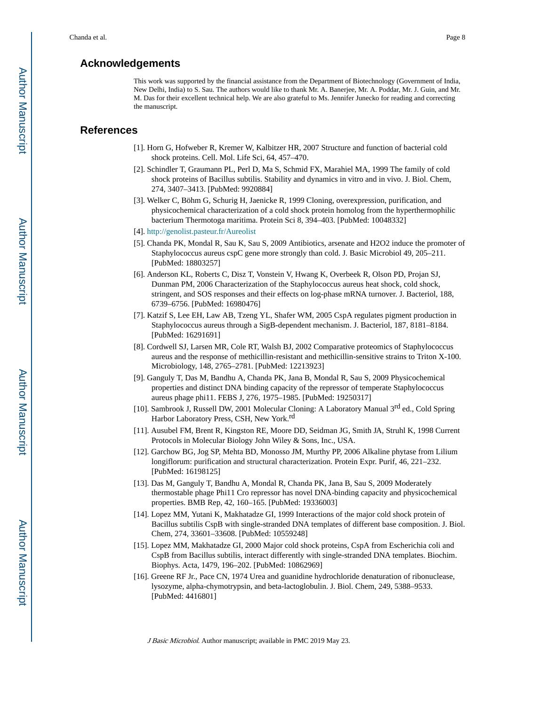## **Acknowledgements**

This work was supported by the financial assistance from the Department of Biotechnology (Government of India, New Delhi, India) to S. Sau. The authors would like to thank Mr. A. Banerjee, Mr. A. Poddar, Mr. J. Guin, and Mr. M. Das for their excellent technical help. We are also grateful to Ms. Jennifer Junecko for reading and correcting the manuscript.

## **References**

- [1]. Horn G, Hofweber R, Kremer W, Kalbitzer HR, 2007 Structure and function of bacterial cold shock proteins. Cell. Mol. Life Sci, 64, 457–470.
- [2]. Schindler T, Graumann PL, Perl D, Ma S, Schmid FX, Marahiel MA, 1999 The family of cold shock proteins of Bacillus subtilis. Stability and dynamics in vitro and in vivo. J. Biol. Chem, 274, 3407–3413. [PubMed: 9920884]
- [3]. Welker C, Böhm G, Schurig H, Jaenicke R, 1999 Cloning, overexpression, purification, and physicochemical characterization of a cold shock protein homolog from the hyperthermophilic bacterium Thermotoga maritima. Protein Sci 8, 394–403. [PubMed: 10048332]
- [4]. <http://genolist.pasteur.fr/Aureolist>
- [5]. Chanda PK, Mondal R, Sau K, Sau S, 2009 Antibiotics, arsenate and H2O2 induce the promoter of Staphylococcus aureus cspC gene more strongly than cold. J. Basic Microbiol 49, 205–211. [PubMed: 18803257]
- [6]. Anderson KL, Roberts C, Disz T, Vonstein V, Hwang K, Overbeek R, Olson PD, Projan SJ, Dunman PM, 2006 Characterization of the Staphylococcus aureus heat shock, cold shock, stringent, and SOS responses and their effects on log-phase mRNA turnover. J. Bacteriol, 188, 6739–6756. [PubMed: 16980476]
- [7]. Katzif S, Lee EH, Law AB, Tzeng YL, Shafer WM, 2005 CspA regulates pigment production in Staphylococcus aureus through a SigB-dependent mechanism. J. Bacteriol, 187, 8181–8184. [PubMed: 16291691]
- [8]. Cordwell SJ, Larsen MR, Cole RT, Walsh BJ, 2002 Comparative proteomics of Staphylococcus aureus and the response of methicillin-resistant and methicillin-sensitive strains to Triton X-100. Microbiology, 148, 2765–2781. [PubMed: 12213923]
- [9]. Ganguly T, Das M, Bandhu A, Chanda PK, Jana B, Mondal R, Sau S, 2009 Physicochemical properties and distinct DNA binding capacity of the repressor of temperate Staphylococcus aureus phage phi11. FEBS J, 276, 1975–1985. [PubMed: 19250317]
- [10]. Sambrook J, Russell DW, 2001 Molecular Cloning: A Laboratory Manual 3<sup>rd</sup> ed., Cold Spring Harbor Laboratory Press, CSH, New York.<sup>rd</sup>
- [11]. Ausubel FM, Brent R, Kingston RE, Moore DD, Seidman JG, Smith JA, Struhl K, 1998 Current Protocols in Molecular Biology John Wiley & Sons, Inc., USA.
- [12]. Garchow BG, Jog SP, Mehta BD, Monosso JM, Murthy PP, 2006 Alkaline phytase from Lilium longiflorum: purification and structural characterization. Protein Expr. Purif, 46, 221–232. [PubMed: 16198125]
- [13]. Das M, Ganguly T, Bandhu A, Mondal R, Chanda PK, Jana B, Sau S, 2009 Moderately thermostable phage Phi11 Cro repressor has novel DNA-binding capacity and physicochemical properties. BMB Rep, 42, 160–165. [PubMed: 19336003]
- [14]. Lopez MM, Yutani K, Makhatadze GI, 1999 Interactions of the major cold shock protein of Bacillus subtilis CspB with single-stranded DNA templates of different base composition. J. Biol. Chem, 274, 33601–33608. [PubMed: 10559248]
- [15]. Lopez MM, Makhatadze GI, 2000 Major cold shock proteins, CspA from Escherichia coli and CspB from Bacillus subtilis, interact differently with single-stranded DNA templates. Biochim. Biophys. Acta, 1479, 196–202. [PubMed: 10862969]
- [16]. Greene RF Jr., Pace CN, 1974 Urea and guanidine hydrochloride denaturation of ribonuclease, lysozyme, alpha-chymotrypsin, and beta-lactoglobulin. J. Biol. Chem, 249, 5388–9533. [PubMed: 4416801]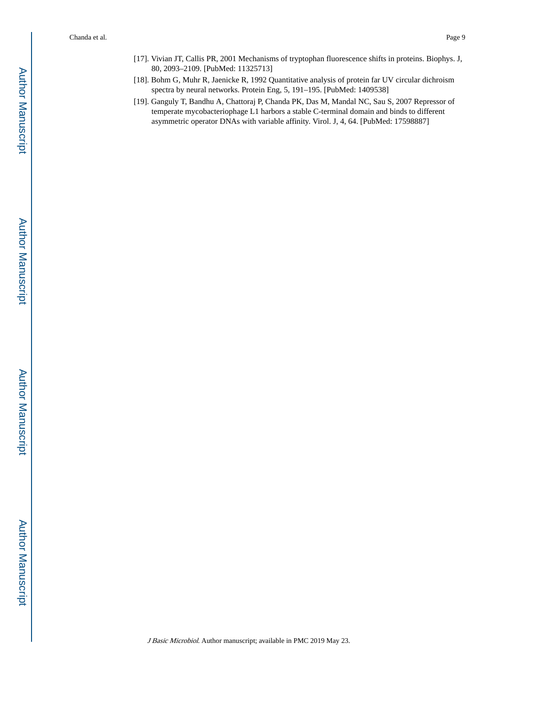- [17]. Vivian JT, Callis PR, 2001 Mechanisms of tryptophan fluorescence shifts in proteins. Biophys. J, 80, 2093–2109. [PubMed: 11325713]
- [18]. Bohm G, Muhr R, Jaenicke R, 1992 Quantitative analysis of protein far UV circular dichroism spectra by neural networks. Protein Eng, 5, 191–195. [PubMed: 1409538]
- [19]. Ganguly T, Bandhu A, Chattoraj P, Chanda PK, Das M, Mandal NC, Sau S, 2007 Repressor of temperate mycobacteriophage L1 harbors a stable C-terminal domain and binds to different asymmetric operator DNAs with variable affinity. Virol. J, 4, 64. [PubMed: 17598887]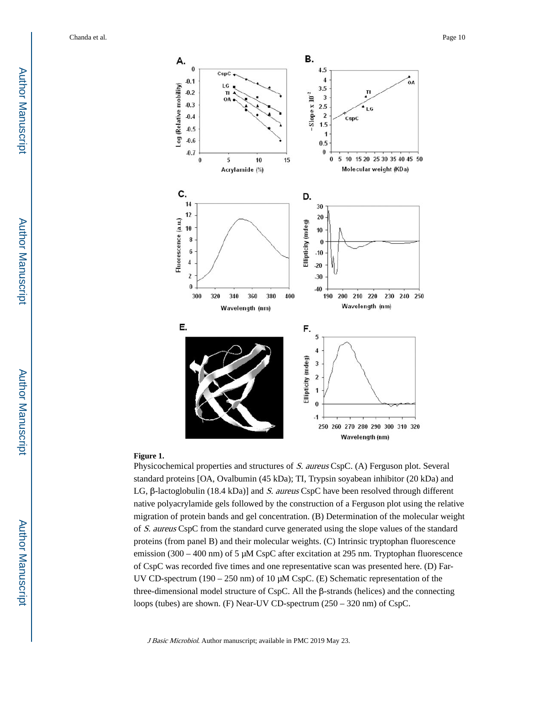

#### **Figure 1.**

Physicochemical properties and structures of S. aureus CspC. (A) Ferguson plot. Several standard proteins [OA, Ovalbumin (45 kDa); TI, Trypsin soyabean inhibitor (20 kDa) and LG, β-lactoglobulin (18.4 kDa)] and S. aureus CspC have been resolved through different native polyacrylamide gels followed by the construction of a Ferguson plot using the relative migration of protein bands and gel concentration. (B) Determination of the molecular weight of S. aureus CspC from the standard curve generated using the slope values of the standard proteins (from panel B) and their molecular weights. (C) Intrinsic tryptophan fluorescence emission (300 – 400 nm) of 5 μM CspC after excitation at 295 nm. Tryptophan fluorescence of CspC was recorded five times and one representative scan was presented here. (D) Far-UV CD-spectrum (190 – 250 nm) of 10 μM CspC. (E) Schematic representation of the three-dimensional model structure of CspC. All the β-strands (helices) and the connecting loops (tubes) are shown. (F) Near-UV CD-spectrum (250 – 320 nm) of CspC.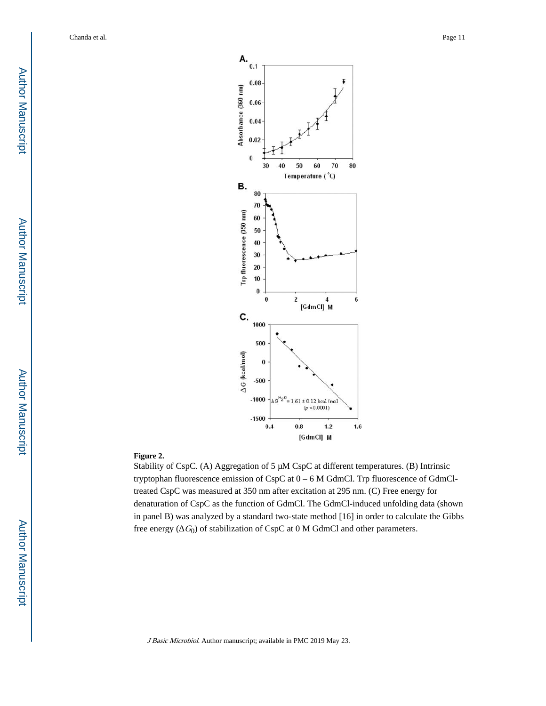

#### **Figure 2.**

Stability of CspC. (A) Aggregation of 5 μM CspC at different temperatures. (B) Intrinsic tryptophan fluorescence emission of CspC at 0 – 6 M GdmCl. Trp fluorescence of GdmCltreated CspC was measured at 350 nm after excitation at 295 nm. (C) Free energy for denaturation of CspC as the function of GdmCl. The GdmCl-induced unfolding data (shown in panel B) was analyzed by a standard two-state method [16] in order to calculate the Gibbs free energy  $(\mathcal{G}_0)$  of stabilization of CspC at 0 M GdmCl and other parameters.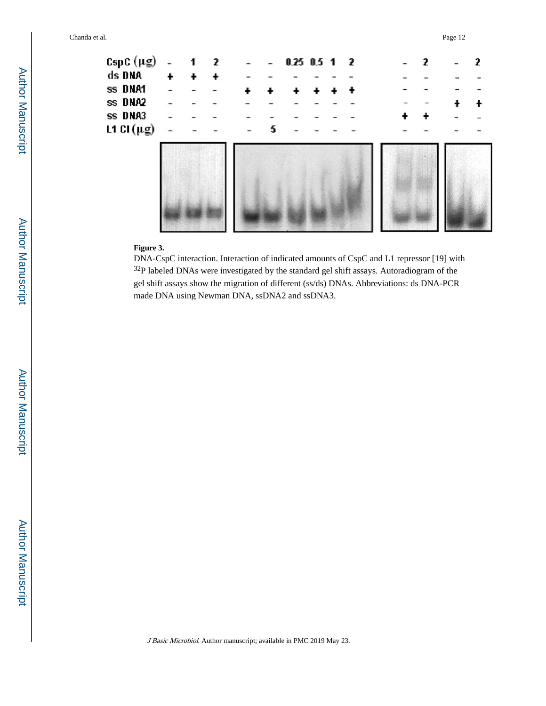

### **Figure 3.**

DNA-CspC interaction. Interaction of indicated amounts of CspC and L1 repressor [19] with <sup>32</sup>P labeled DNAs were investigated by the standard gel shift assays. Autoradiogram of the gel shift assays show the migration of different (ss/ds) DNAs. Abbreviations: ds DNA-PCR made DNA using Newman DNA, ssDNA2 and ssDNA3.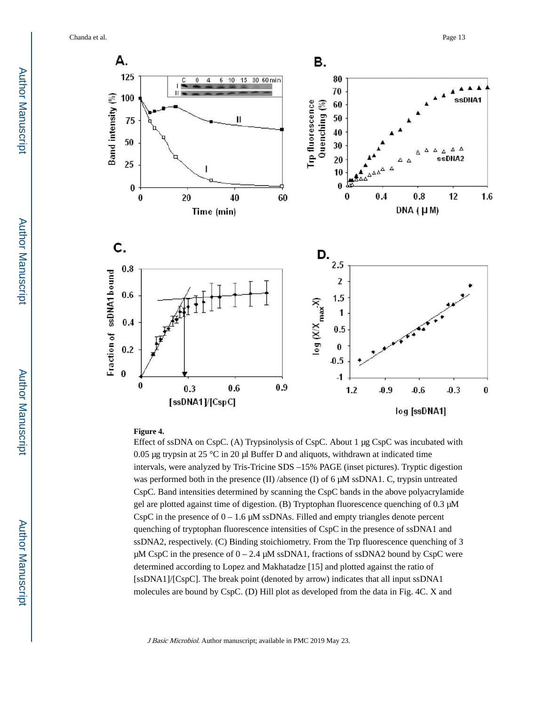Chanda et al. Page 13



#### **Figure 4.**

Effect of ssDNA on CspC. (A) Trypsinolysis of CspC. About 1 μg CspC was incubated with 0.05 μg trypsin at 25 °C in 20 μl Buffer D and aliquots, withdrawn at indicated time intervals, were analyzed by Tris-Tricine SDS –15% PAGE (inset pictures). Tryptic digestion was performed both in the presence (II) /absence (I) of 6  $\mu$ M ssDNA1. C, trypsin untreated CspC. Band intensities determined by scanning the CspC bands in the above polyacrylamide gel are plotted against time of digestion. (B) Tryptophan fluorescence quenching of 0.3 μM CspC in the presence of  $0 - 1.6 \mu M$  ssDNAs. Filled and empty triangles denote percent quenching of tryptophan fluorescence intensities of CspC in the presence of ssDNA1 and ssDNA2, respectively. (C) Binding stoichiometry. From the Trp fluorescence quenching of 3 μM CspC in the presence of  $0 - 2.4$  μM ssDNA1, fractions of ssDNA2 bound by CspC were determined according to Lopez and Makhatadze [15] and plotted against the ratio of [ssDNA1]/[CspC]. The break point (denoted by arrow) indicates that all input ssDNA1 molecules are bound by CspC. (D) Hill plot as developed from the data in Fig. 4C. X and